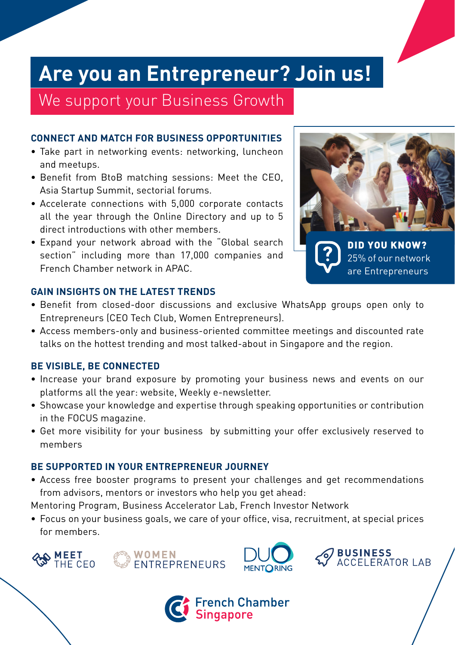# **Are you an Entrepreneur? Join us!**

We support your Business Growth

### **CONNECT AND MATCH FOR BUSINESS OPPORTUNITIES**

- Take part in networking events: networking, luncheon and meetups.
- Benefit from BtoB matching sessions: Meet the CEO, Asia Startup Summit, sectorial forums.
- Accelerate connections with 5,000 corporate contacts all the year through the Online Directory and up to 5 direct introductions with other members.
- Expand your network abroad with the "Global search section" including more than 17,000 companies and French Chamber network in APAC.



#### **GAIN INSIGHTS ON THE LATEST TRENDS**

- Benefit from closed-door discussions and exclusive WhatsApp groups open only to Entrepreneurs (CEO Tech Club, Women Entrepreneurs).
- Access members-only and business-oriented committee meetings and discounted rate talks on the hottest trending and most talked-about in Singapore and the region.

#### **BE VISIBLE, BE CONNECTED**

- Increase your brand exposure by promoting your business news and events on our platforms all the year: website, Weekly e-newsletter.
- Showcase your knowledge and expertise through speaking opportunities or contribution in the FOCUS magazine.
- Get more visibility for your business by submitting your offer exclusively reserved to members

#### **BE SUPPORTED IN YOUR ENTREPRENEUR JOURNEY**

• Access free booster programs to present your challenges and get recommendations from advisors, mentors or investors who help you get ahead:

Mentoring Program, Business Accelerator Lab, French Investor Network

• Focus on your business goals, we care of your office, visa, recruitment, at special prices for members.